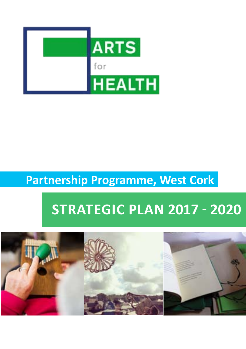

## **Partnership Programme, West Cork**

## **Strategic Plan 2017 - 2020**

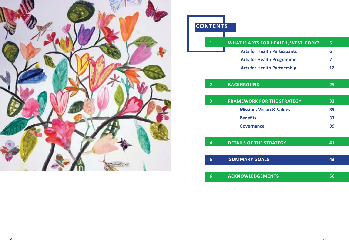

| <b>CONTENTS</b> |                                     |    |
|-----------------|-------------------------------------|----|
| $\mathbf{1}$    | WHAT IS ARTS FOR HEALTH, WEST CORK? | 5  |
|                 | <b>Arts for Health Participants</b> | 6  |
|                 | <b>Arts for Health Programme</b>    | 7  |
|                 | <b>Arts for Health Partnership</b>  | 12 |
| $\overline{2}$  | <b>BACKGROUND</b>                   | 25 |
| 3               | <b>FRAMEWORK FOR THE STRATEGY</b>   | 33 |
|                 | <b>Mission, Vision &amp; Values</b> | 35 |
|                 | <b>Benefits</b>                     | 37 |
|                 | Governance                          | 39 |
| 4               | <b>DETAILS OF THE STRATEGY</b>      | 41 |
| 5               | <b>SUMMARY GOALS</b>                | 43 |
| 6               | <b>ACKNOWLEDGEMENTS</b>             | 56 |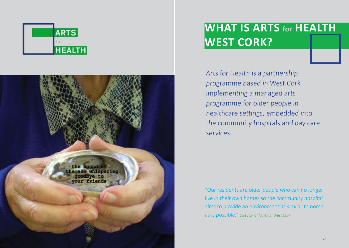



# **What is Arts for Health West Cork?**

Arts for Health is a partnership programme based in West Cork implementing a managed arts programme for older people in healthcare settings, embedded into the community hospitals and day care services.

"Our residents are older people who can no longer live in their own homes so the community hospital aims to provide an environment as similar to home as is possible." Director of Nursing, West Cork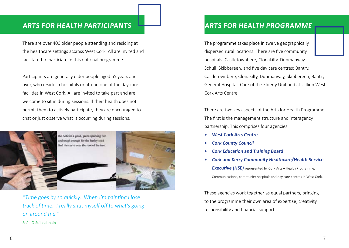#### **Arts for Health Participants**

There are over 400 older people attending and residing at the healthcare settings accross West Cork. All are invited and facilitated to particiate in this optional programme.

Participants are generally older people aged 65 years and over, who reside in hospitals or attend one of the day care facilities in West Cork. All are invited to take part and are welcome to sit in during sessions. If their health does not permit them to actively participate, they are encouraged to chat or just observe what is occurring during sessions.



"Time goes by so quickly. When I'm painting I lose track of time. I really shut myself off to what's going on around me."

Seán O'Suilleabháin

#### **Arts for Health Programme**

The programme takes place in twelve geographically dispersed rural locations. There are five community hospitals: Castletownbere, Clonakilty, Dunmanway, Schull, Skibbereen, and five day care centres: Bantry, Castletownbere, Clonakilty, Dunmanway, Skibbereen, Bantry General Hospital, Care of the Elderly Unit and at Uillinn West Cork Arts Centre.

There are two key aspects of the Arts for Health Programme. The first is the management structure and interagency partnership. This comprises four agencies:

- **• West Cork Arts Centre**
- **• Cork County Council**
- **• Cork Education and Training Board**
- **• Cork and Kerry Community Healthcare/Health Service Executive (HSE)** represented by Cork Arts + Health Programme, Communications, community hospitals and day care centres in West Cork.

These agencies work together as equal partners, bringing to the programme their own area of expertise, creativity, responsibility and financial support.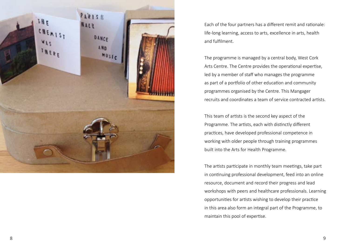

Each of the four partners has a different remit and rationale: life-long learning, access to arts, excellence in arts, health and fulfilment.

The programme is managed by a central body, West Cork Arts Centre. The Centre provides the operational expertise, led by a member of staff who manages the programme as part of a portfolio of other education and community programmes organised by the Centre. This Mangager recruits and coordinates a team of service contracted artists.

This team of artists is the second key aspect of the Programme. The artists, each with distinctly different practices, have developed professional competence in working with older people through training programmes built into the Arts for Health Programme.

The artists participate in monthly team meetings, take part in continuing professional development, feed into an online resource, document and record their progress and lead workshops with peers and healthcare professionals. Learning opportunities for artists wishing to develop their practice in this area also form an integral part of the Programme, to maintain this pool of expertise.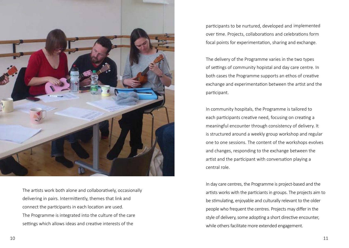

The artists work both alone and collaboratively, occasionally delivering in pairs. Intermittently, themes that link and connect the participants in each location are used. The Programme is integrated into the culture of the care settings which allows ideas and creative interests of the

participants to be nurtured, developed and implemented over time. Projects, collaborations and celebrations form focal points for experimentation, sharing and exchange.

The delivery of the Programme varies in the two types of settings of community hopistal and day care centre. In both cases the Programme supports an ethos of creative exchange and experimentation between the artist and the participant.

In community hospitals, the Programme is tailored to each participants creative need, focusing on creating a meaningful encounter through consistency of delivery. It is structured around a weekly group workshop and regular one to one sessions. The content of the workshops evolves and changes, responding to the exchange between the artist and the participant with conversation playing a central role.

In day care centres, the Programme is project-based and the artists works with the particiants in groups. The projects aim to be stimulating, enjoyable and culturally relevant to the older people who frequent the centres. Projects may differ in the style of delivery, some adopting a short directive encounter, while others facilitate more extended engagement.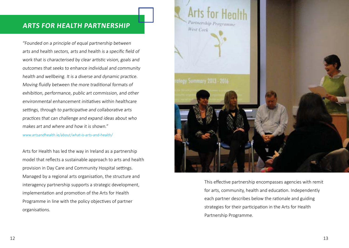#### **Arts for Health Partnership**

"Founded on a principle of equal partnership between arts and health sectors, arts and health is a specific field of work that is characterised by clear artistic vision, goals and outcomes that seeks to enhance individual and community health and wellbeing. It is a diverse and dynamic practice. Moving fluidly between the more traditional formats of exhibition, performance, public art commission, and other environmental enhancement initiatives within healthcare settings, through to participative and collaborative arts practices that can challenge and expand ideas about who makes art and where and how it is shown"

www.artsandhealth.ie/about/what-is-arts-and-health/

Arts for Health has led the way in Ireland as a partnership model that reflects a sustainable approach to arts and health provision in Day Care and Community Hospital settings. Managed by a regional arts organisation, the structure and interagency partnership supports a strategic development, implementation and promotion of the Arts for Health Programme in line with the policy objectives of partner organisations.



This effective partnership encompasses agencies with remit for arts, community, health and education. Independently each partner describes below the rationale and guiding strategies for their participation in the Arts for Health Partnership Programme.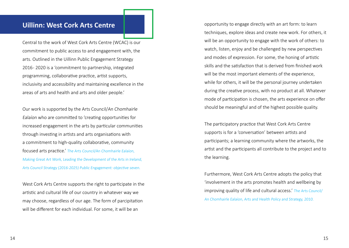#### **Uillinn: West Cork Arts Centre**

Central to the work of West Cork Arts Centre (WCAC) is our commitment to public access to and engagement with, the arts. Outlined in the Uillinn Public Engagement Strategy 2016 - 2020 is a 'commitment to partnership, integrated programming, collaborative practice, artist supports, inclusivity and accessibility and maintaining excellence in the areas of arts and health and arts and older people.'

Our work is supported by the Arts Council/An Chomhairle Ealaíon who are committed to 'creating opportunities for increased engagement in the arts by particular communities through investing in artists and arts organisations with a commitment to high-quality collaborative, community focused arts practice.' The Arts Council/An Chomhairle Ealaíon, Making Great Art Work, Leading the Development of the Arts in Ireland, Arts Council Strategy (2016-2025) Public Engagement: objective seven.

West Cork Arts Centre supports the right to participate in the artistic and cultural life of our country in whatever way we may choose, regardless of our age. The form of parcipitation will be different for each individual. For some, it will be an

opportunity to engage directly with an art form: to learn techniques, explore ideas and create new work. For others, it will be an opportunity to engage with the work of others: to watch, listen, enjoy and be challenged by new perspectives and modes of expression. For some, the honing of artistic skills and the satisfaction that is derived from finished work will be the most important elements of the experience, while for others, it will be the personal journey undertaken during the creative process, with no product at all. Whatever mode of participation is chosen, the arts experience on offer should be meaningful and of the highest possible quality.

The participatory practice that West Cork Arts Centre supports is for a 'conversation' between artists and participants; a learning community where the artworks, the artist and the participants all contribute to the project and to the learning.

Furthermore, West Cork Arts Centre adopts the policy that 'involvement in the arts promotes health and wellbeing by improving quality of life and cultural access.' The Arts Council/ An Chomhairle Ealaíon, Arts and Health Policy and Strategy, 2010.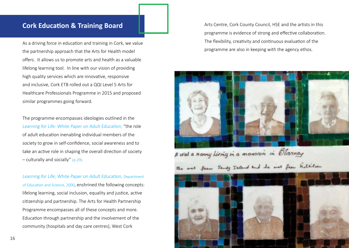#### **Cork Education & Training Board**

As a driving force in education and training in Cork, we value the partnership approach that the Arts for Health model offers. It allows us to promote arts and health as a valuable lifelong learning tool. In line with our vision of providing high quality services which are innovative, responsive and inclusive, Cork ETB rolled out a QQI Level 5 Arts for Healthcare Professionals Programme in 2015 and proposed similar programmes going forward.

The programme encompasses ideologies outlined in the Learning for Life: White Paper on Adult Education, "the role of adult education inenabling individual members of the society to grow in self-confidence, social awareness and to take an active role in shaping the overall direction of society – culturally and socially" (p.29).

Learning for Life; White Paper on Adult Education, Department of Education and Science, 2000, enshrined the following concepts: lifelong learning, social inclusion, equality and justice, active citizenship and partnership. The Arts for Health Partnership Programme encompasses all of these concepts and more. Education through partnership and the involvement of the community (hospitals and day care centres), West Cork

Arts Centre, Cork County Council, HSE and the artists in this programme is evidence of strong and effective collaboration. The flexibility, creativity and continuous evaluation of the programme are also in keeping with the agency ethos.



B Was a sanny hiving in a mansion in Blarincy

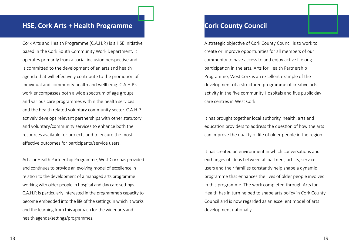#### **HSE, Cork Arts + Health Programme**

Cork Arts and Health Programme (C.A.H.P.) is a HSE initiative based in the Cork South Community Work Department. It operates primarily from a social inclusion perspective and is committed to the development of an arts and health agenda that will effectively contribute to the promotion of individual and community health and wellbeing. C.A.H.P's work encompasses both a wide spectrum of age groups and various care programmes within the health services and the health related voluntary community sector. C.A.H.P. actively develops relevant partnerships with other statutory and voluntary/community services to enhance both the resources available for projects and to ensure the most effective outcomes for participants/service users.

Arts for Health Partnership Programme, West Cork has provided and continues to provide an evolving model of excellence in relation to the development of a managed arts programme working with older people in hospital and day care settings. C.A.H.P. is particularly interested in the programme's capacity to become embedded into the life of the settings in which it works and the learning from this approach for the wider arts and health agenda/settings/programmes.

#### **Cork County Council**

A strategic objective of Cork County Council is to work to create or improve opportunities for all members of our community to have access to and enjoy active lifelong participation in the arts. Arts for Health Partnership Programme, West Cork is an excellent example of the development of a structured programme of creative arts activity in the five community Hospitals and five public day care centres in West Cork.

It has brought together local authority, health, arts and education providers to address the question of how the arts can improve the quality of life of older people in the region.

It has created an environment in which conversations and exchanges of ideas between all partners, artists, service users and their families constantly help shape a dynamic programme that enhances the lives of older people involved in this programme. The work completed through Arts for Health has in turn helped to shape arts policy in Cork County Council and is now regarded as an excellent model of arts development nationally.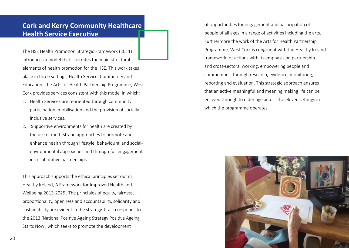#### **Cork and Kerry Community Healthcare Health Service Executive**

The HSE Health Promotion Strategic Framework (2011) introduces a model that illustrates the main structural elements of health promotion for the HSE. This work takes place in three settings; Health Service, Community and Education. The Arts for Health Partnership Programme, West Cork provides services consistent with this model in which:

- 1. Health Services are reoriented through community participation, mobilisation and the provision of socially inclusive services.
- 2. Supportive environments for health are created by the use of multi-strand approaches to promote and enhance health through lifestyle, behavioural and socialenvironmental approaches and through full engagement in collaborative partnerships.

This approach supports the ethical principles set out in Healthy Ireland, A Framework for Improved Health and Wellbeing 2013-2025'. The principles of equity, fairness, proportionality, openness and accountability, solidarity and sustainability are evident in the strategy. It also responds to the 2013 'National Positive Ageing Strategy Positive Ageing Starts Now', which seeks to promote the development

of opportunities for engagement and participation of people of all ages in a range of activities including the arts. Furthermore the work of the Arts for Health Partnership Programme, West Cork is congruent with the Healthy Ireland framework for actions with its emphasis on partnership and cross-sectoral working, empowering people and communities, through research, evidence, monitoring, reporting and evaluation. This strategic approach ensures that an active meaningful and meaning making life can be enjoyed through to older age across the eleven settings in which the programme operates.

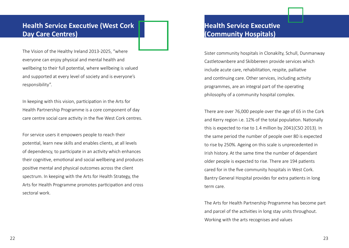#### **Health Service Executive (West Cork Day Care Centres)**

The Vision of the Healthy Ireland 2013-2025, "where everyone can enjoy physical and mental health and wellbeing to their full potential, where wellbeing is valued and supported at every level of society and is everyone's responsibility".

In keeping with this vision, participation in the Arts for Health Partnership Programme is a core component of day care centre social care activity in the five West Cork centres.

For service users it empowers people to reach their potential, learn new skills and enables clients, at all levels of dependency, to participate in an activity which enhances their cognitive, emotional and social wellbeing and produces positive mental and physical outcomes across the client spectrum. In keeping with the Arts for Health Strategy, the Arts for Health Programme promotes participation and cross sectoral work.

#### **Health Service Executive (Community Hospitals)**

Sister community hospitals in Clonakilty, Schull, Dunmanway Castletownbere and Skibbereen provide services which include acute care, rehabilitation, respite, palliative and continuing care. Other services, including activity programmes, are an integral part of the operating philosophy of a community hospital complex.

There are over 76,000 people over the age of 65 in the Cork and Kerry region i.e. 12% of the total population. Nationally this is expected to rise to 1.4 million by 2041(CSO 2013). In the same period the number of people over 80 is expected to rise by 250%. Ageing on this scale is unprecedented in Irish history. At the same time the number of dependant older people is expected to rise. There are 194 patients cared for in the five community hospitals in West Cork. Bantry General Hospital provides for extra patients in long term care.

The Arts for Health Partnership Programme has become part and parcel of the activities in long stay units throughout. Working with the arts recognises and values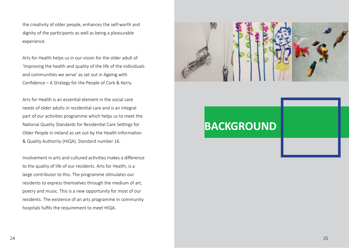the creativity of older people, enhances the self-worth and dignity of the participants as well as being a pleasurable experience.

Arts for Health helps us in our vision for the older adult of 'Improving the health and quality of the life of the individuals and communities we serve' as set out in Ageing with Confidence – A Strategy for the People of Cork & Kerry.

Arts for Health is an essential element in the social care needs of older adults in residential care and is an integral part of our activities programme which helps us to meet the National Quality Standards for Residential Care Settings for Older People in Ireland as set out by the Health Information & Quality Authority (HIQA). Standard number 16.

Involvement in arts and cultured activities makes a difference to the quality of life of our residents. Arts for Health, is a large contributor to this. The programme stimulates our residents to express themselves through the medium of art, poetry and music. This is a new opportunity for most of our residents. The existence of an arts programme in community hospitals fulfils the requirement to meet HIQA.



# **BACKGROUND**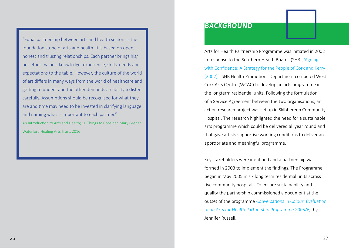"Equal partnership between arts and health sectors is the foundation stone of arts and health. It is based on open, honest and trusting relationships. Each partner brings his/ her ethos, values, knowledge, experience, skills, needs and expectations to the table. However, the culture of the world of art differs in many ways from the world of healthcare and getting to understand the other demands an ability to listen carefully. Assumptions should be recognised for what they are and time may need to be invested in clarifying language and naming what is important to each partner." An Introduction to Arts and Health; 10 Things to Consider, Mary Grehan, Waterford Healing Arts Trust. 2016

#### **BACKGROUND**

Arts for Health Partnership Programme was initiated in 2002 in response to the Southern Health Boards (SHB), 'Ageing with Confidence: A Strategy for the People of Cork and Kerry (2002)'. SHB Health Promotions Department contacted West Cork Arts Centre (WCAC) to develop an arts programme in the longterm residential units. Following the formulation of a Service Agreement between the two organisations, an action research project was set up in Skibbereen Community Hospital. The research highlighted the need for a sustainable arts programme which could be delivered all year round and that gave artists supportive working conditions to deliver an appropriate and meaningful programme.

Key stakeholders were identified and a partnership was formed in 2003 to implement the findings. The Programme began in May 2005 in six long term residential units across five community hospitals. To ensure sustainability and quality the partnership commissioned a document at the outset of the programme Conversations in Colour: Evaluation of an Arts for Health Partnership Programme 2005/6, by Jennifer Russell.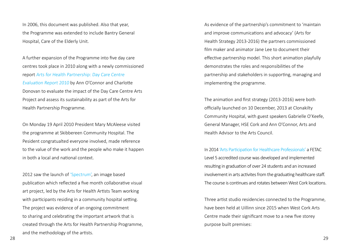In 2006, this document was published. Also that year, the Programme was extended to include Bantry General Hospital, Care of the Elderly Unit.

A further expansion of the Programme into five day care centres took place in 2010 along with a newly commissioned report Arts for Health Partnership: Day Care Centre Evaluation Report 2010 by Ann O'Connor and Charlotte Donovan to evaluate the impact of the Day Care Centre Arts Project and assess its sustainability as part of the Arts for Health Partnership Programme.

On Monday 19 April 2010 President Mary McAleese visited the programme at Skibbereen Community Hospital. The Pesident congratualted everyone involved, made reference to the value of the work and the people who make it happen in both a local and national context.

2012 saw the launch of 'Spectrum', an image based publication which reflected a five month collaborative visual art project, led by the Arts for Health Artists Team working with participants residing in a community hospital setting. The project was evidence of an ongoing commitment to sharing and celebrating the important artwork that is created through the Arts for Health Partnership Programme, and the methodology of the artists.

As evidence of the partnership's commitment to 'maintain and improve communications and advocacy' (Arts for Health Strategy 2013-2016) the partners commissioned film maker and animator Jane Lee to document their effective partnership model. This short animation playfully demonstrates the roles and responsibilities of the partnership and stakeholders in supporting, managing and implementing the programme.

The animation and first strategy (2013-2016) were both officially launched on 10 December, 2013 at Clonakilty Community Hospital, with guest speakers Gabrielle O'Keefe, General Manager, HSE Cork and Ann O'Connor, Arts and Health Advisor to the Arts Council.

In 2014 'Arts Participation for Healthcare Professionals' a FETAC Level 5 accredited course was developed and implemented resulting in graduation of over 24 students and an increased involvement in arts activites from the graduating healthcare staff. The course is continues and rotates between West Cork locations.

Three artist studio residencies connected to the Programme, have been held at Uillinn since 2015 when West Cork Arts Centre made their significant move to a new five storey purpose built premises: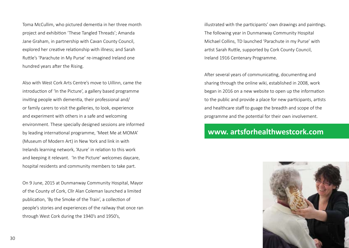Toma McCullim, who pictured dementia in her three month project and exhibition 'These Tangled Threads'; Amanda Jane Graham, in partnership with Cavan County Council, explored her creative relationship with illness; and Sarah Ruttle's 'Parachute in My Purse' re-imagined Ireland one hundred years after the Rising.

Also with West Cork Arts Centre's move to Uillinn, came the introduction of 'In the Picture', a gallery based programme inviting people with dementia, their professional and/ or family carers to visit the galleries, to look, experience and experiment with others in a safe and welcoming environment. These specially designed sessions are informed by leading international programme, 'Meet Me at MOMA' (Museum of Modern Art) in New York and link in with Irelands learning network, 'Azure' in relation to this work and keeping it relevant. 'In the Picture' welcomes daycare, hospital residents and community members to take part.

On 9 June, 2015 at Dunmanway Community Hospital, Mayor of the County of Cork, Cllr Alan Coleman launched a limited publication, 'By the Smoke of the Train', a collection of people's stories and experiences of the railway that once ran through West Cork during the 1940's and 1950's,

illustrated with the participants' own drawings and paintings. The following year in Dunmanway Community Hospital Michael Collins, TD launched 'Parachute in my Purse' with artist Sarah Ruttle, supported by Cork County Council, Ireland 1916 Centenary Programme.

After several years of communicating, documenting and sharing through the online wiki, established in 2008, work began in 2016 on a new website to open up the information to the public and provide a place for new participants, artists and healthcare staff to guage the breadth and scope of the programme and the potential for their own involvement.

### **www. artsforhealthwestcork.com**

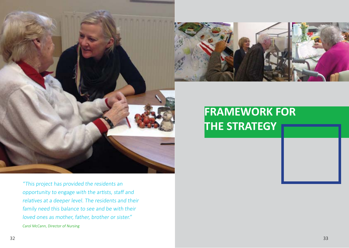



# **FRAMEWORK FOR THE STRATEGY**

"This project has provided the residents an opportunity to engage with the artists, staff and relatives at a deeper level. The residents and their family need this balance to see and be with their loved ones as mother, father, brother or sister." Carol McCann, Director of Nursing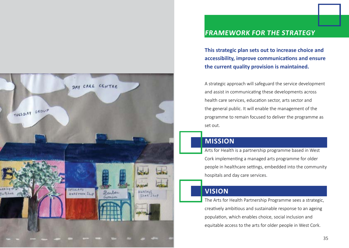

**accessibility, improve communications and ensure the current quality provision is maintained.**

A strategic approach will safeguard the service development and assist in communicating these developments across health care services, education sector, arts sector and the general public. It will enable the management of the programme to remain focused to deliver the programme as set out.

#### **Mission**

Arts for Health is a partnership programme based in West Cork implementing a managed arts programme for older people in healthcare settings, embedded into the community hospitals and day care services.

#### **Vision**

The Arts for Health Partnership Programme sees a strategic, creatively ambitious and sustainable response to an ageing population, which enables choice, social inclusion and equitable access to the arts for older people in West Cork.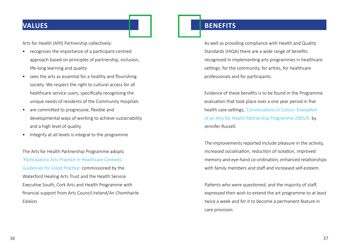#### **Values**

Arts for Health (AfH) Partnership collectively:

- recognises the importance of a participant-centred approach based on principles of partnership, inclusion, life-long learning and quality
- sees the arts as essential for a healthy and flourishing society. We respect the right to cultural access for all healthcare service users, specifically recognising the unique needs of residents of the Community Hospitals
- are committed to progressive, flexible and developmental ways of working to achieve sustainability and a high level of quality
- Integrity at all levels is integral to the programme

The Arts for Health Partnership Programme adopts 'Participatory Arts Practice in Healthcare Contexts: Guidelines for Good Practice' commissioned by the Waterford Healing Arts Trust and the Health Service Executive South, Cork Arts and Health Programme with financial support from Arts Council Ireland/An Chomhairle Ealaíon.

#### **Benefits**

As well as providing compliance with Health and Quality Standards (HIQA) there are a wide range of benefits recognised in implementing arts programmes in healthcare settings: for the community, for artists, for healthcare professionals and for participants.

Evidence of these benefits is to be found in the Programme evaluation that took place over a one year period in five health care settings, 'Conversations in Colour: Evaluation of an Arts for Health Partnership Programme 2005/6' by Jennifer Russell.

The improvements reported include pleasure in the activity, increased socialisation, reduction of isolation, improved memory and eye-hand co-ordination, enhanced relationships with family members and staff and increased self-esteem.

Patients who were questioned, and the majority of staff, expressed their wish to extend the art programme to at least twice a week and for it to become a permanent feature in care provision.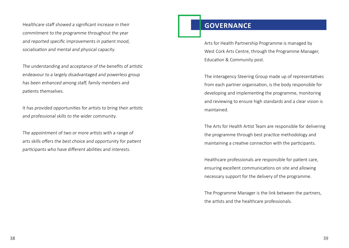Healthcare staff showed a significant increase in their commitment to the programme throughout the year and reported specific improvements in patient mood, socialisation and mental and physical capacity.

The understanding and acceptance of the benefits of artistic endeavour to a largely disadvantaged and powerless group has been enhanced among staff, family members and patients themselves.

It has provided opportunities for artists to bring their artistic and professional skills to the wider community.

The appointment of two or more artists with a range of arts skills offers the best choice and opportunity for patient participants who have different abilities and interests.

#### **Governance**

Arts for Health Partnership Programme is managed by West Cork Arts Centre, through the Programme Manager, Education & Community post.

The interagency Steering Group made up of representatives from each partner organisation, is the body responsible for developing and implementing the programme, monitoring and reviewing to ensure high standards and a clear vision is maintained.

The Arts for Health Artist Team are responsible for delivering the programme through best practice methodology and maintaining a creative connection with the participants.

Healthcare professionals are responsible for patient care, ensuring excellent communications on site and allowing necessary support for the delivery of the programme.

The Programme Manager is the link between the partners, the artists and the healthcare professionals.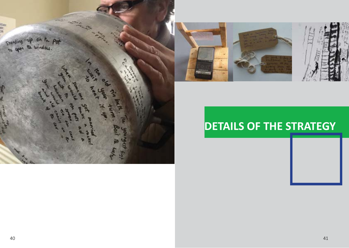



# **DETAILS OF THE STRATEGY**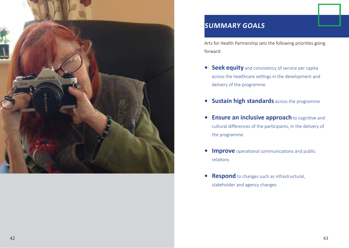

## **Summary Goals**

Arts for Health Partnership sets the following priorities going forward:

- **• Seek equity** and consistency of service per capita across the healthcare settings in the development and delivery of the programme
- **• Sustain high standards** across the programme
- **• Ensure an inclusive approach** to cognitive and cultural differences of the participants, in the delivery of the programme
- **• Improve** operational communications and public relations
- **• Respond** to changes such as infrastructural, stakeholder and agency changes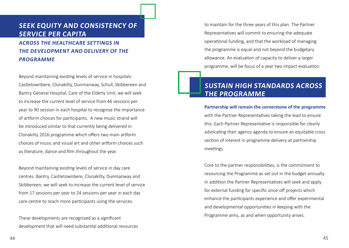#### **Seek equity and consistency of service per capita**

**across the healthcare settings in the development and delivery of the programme**

Beyond maintaining existing levels of service in hospitals: Castletownbere, Clonakilty, Dunmanway, Schull, Skibbereen and Bantry General Hospital, Care of the Elderly Unit; we will seek to increase the current level of service from 46 sessions per year to 90 session in each hospital to recognise the importance of artform choices for participants. A new music strand will be introduced similar to that currently being delivered in Clonakilty 2016 programme which offers two main artform choices of music and visual art and other artform choices such as literature, dance and film throughout the year.

Beyond maintaining existing levels of service in day care centres: Bantry, Castletownbere, Clonakilty, Dunmanway and Skibbereen; we will seek to increase the current level of service from 17 sessions per year to 24 sessions per year in each day care centre to reach more participants using the services.

These developments are recognized as a significant development that will need substantial additional resources to maintain for the three years of this plan. The Partner Representatives will commit to ensuring the adequate operational funding, and that the workload of managing the programme is equal and not beyond the budgetary allowance. An evaluation of capacity to deliver a larger programme, will be focus of a year two impact evaluation.

#### **Sustain high standards across the programme**

**Partnership will remain the cornerstone of the programme**  with the Partner Representatives taking the lead to ensure this. Each Partner Representative is responsible for clearly advocating their agency agenda to ensure an equitable cross section of interest in programme delivery at partnership meetings.

Core to the partner responsibilities, is the commitment to resourcing the Programme as set out in the budget annually. In addition the Partner Representatives will seek and apply for external funding for specific once-off projects which enhance the participants experience and offer experimental and developmental opportunities in keeping with the Programme aims, as and when opportunity arises.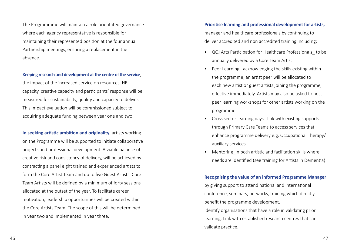The Programmme will maintain a role orientated governance where each agency representative is responsible for maintaining their represented position at the four annual Partnership meetings, ensuring a replacement in their absence.

#### **Keeping research and development at the centre of the service**,

the impact of the increased service on resources, HR capacity, creative capacity and participants' response will be measured for sustainability, quality and capacity to deliver. This impact evaluation will be commissioned subject to acquiring adequate funding between year one and two.

**In seeking artistic ambition and originality**, artists working on the Programme will be supported to initiate collaborative projects and professional development. A viable balance of creative risk and consistency of delivery, will be achieved by contracting a panel eight trained and experienced artists to form the Core Artist Team and up to five Guest Artists. Core Team Artists will be defined by a minimum of forty sessions allocated at the outset of the year. To facilitate career motivation, leadership opportunities will be created within the Core Artists Team. The scope of this will be determined in year two and implemented in year three.

#### **Prioritise learning and professional development for artists,**

manager and healthcare professionals by continuing to deliver accredited and non accredited training including:

- QQI Arts Participation for Healthcare Professionals\_ to be annually delivered by a Core Team Artist
- Peer Learning acknowledging the skills existing within the programme, an artist peer will be allocated to each new artist or guest artists joining the programme, effective immediately. Artists may also be asked to host peer learning workshops for other artists working on the programme.
- Cross sector learning days link with existing supports through Primary Care Teams to access services that enhance programme delivery e.g. Occupational Therapy/ auxiliary services.
- Mentoring in both artistic and facilitation skills where needs are identified (see training for Artists in Dementia)

#### **Recognising the value of an informed Programme Manager**

by giving support to attend national and international conference, seminars, networks, training which directly benefit the programme development.

Identify organisations that have a role in validating prior learning. Link with established research centres that can validate practice.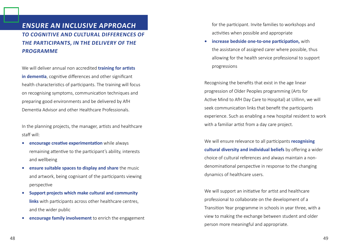#### **Ensure an inclusive approach to cognitive and cultural differences of the participants, in the delivery of the programme**

We will deliver annual non accredited **training for artists in dementia**, cognitive differences and other significant health characteristics of participants. The training will focus on recognising symptoms, communication techniques and preparing good environments and be delivered by AfH Dementia Advisor and other Healthcare Professionals.

In the planning projects, the manager, artists and healthcare staff will:

- **• encourage creative experimentation** while always remaining attentive to the participant's ability, interests and wellbeing
- **• ensure suitable spaces to display and share** the music and artwork, being cognisant of the participants viewing perspective
- **• Support projects which make cultural and community links** with participants across other healthcare centres, and the wider public
- **• encourage family involvement** to enrich the engagement

for the participant. Invite families to workshops and activities when possible and appropriate

**• increase bedside one-to-one participation,** with the assistance of assigned carer where possible, thus allowing for the health service professional to support progressions

Recognising the benefits that exist in the age linear progression of Older Peoples programming (Arts for Active Mind to AfH Day Care to Hospital) at Uillinn, we will seek communication links that benefit the participants experience. Such as enabling a new hospital resident to work with a familiar artist from a day care project.

We will ensure relevance to all participants **recognising cultural diversity and individual beliefs** by offering a wider choice of cultural references and always maintain a nondenominational perspective in response to the changing dynamics of healthcare users.

We will support an initiative for artist and healthcare professional to collaborate on the development of a Transition Year programme in schools in year three, with a view to making the exchange between student and older person more meaningful and appropriate.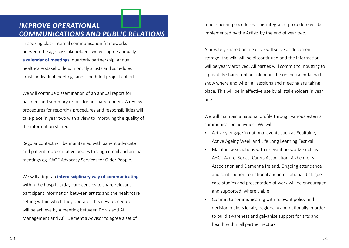#### **Improve operational communications and public relations**

In seeking clear internal communication frameworks between the agency stakeholders, we will agree annually **a calendar of meetings**: quarterly partnership, annual healthcare stakeholders, monthly artists and scheduled artists individual meetings and scheduled project cohorts.

We will continue dissemination of an annual report for partners and summary report for auxiliary funders. A review procedures for reporting procedures and responsibilities will take place in year two with a view to improving the quality of the information shared.

Regular contact will be maintained with patient advocate and patient representative bodies through email and annual meetings eg. SAGE Advocacy Services for Older People.

We will adopt an **interdisciplinary way of communicating** within the hospitals/day care centres to share relevant participant information between artists and the healthcare setting within which they operate. This new procedure will be achieve by a meeting between DoN's and AfH Management and AfH Dementia Advisor to agree a set of

time efficient procedures. This integrated procedure will be implemented by the Artists by the end of year two.

A privately shared online drive will serve as document storage; the wiki will be discontinued and the information will be yearly archived. All parties will commit to inputting to a privately shared online calendar. The online calendar will show where and when all sessions and meeting are taking place. This will be in effective use by all stakeholders in year one.

We will maintain a national profile through various external communication activities. We will:

- Actively engage in national events such as Bealtaine, Active Ageing Week and Life Long Learning Festival
- Maintain associations with relevant networks such as AHCI, Azure, Sonas, Carers Association, Alzheimer's Association and Dementia Ireland. Ongoing attendance and contribution to national and international dialogue, case studies and presentation of work will be encouraged and supported, where viable
- Commit to communicating with relevant policy and decision makers locally, regionally and nationally in order to build awareness and galvanise support for arts and health within all partner sectors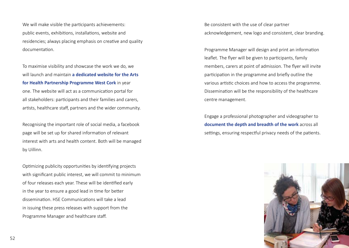We will make visible the participants achievements: public events, exhibitions, installations, website and residencies; always placing emphasis on creative and quality documentation.

To maximise visibility and showcase the work we do, we will launch and maintain **a dedicated website for the Arts for Health Partnership Programme West Cork** in year one. The website will act as a communication portal for all stakeholders: participants and their families and carers, artists, healthcare staff, partners and the wider community.

Recognising the important role of social media, a facebook page will be set up for shared information of relevant interest with arts and health content. Both will be managed by Uillinn.

Optimizing publicity opportunities by identifying projects with significant public interest, we will commit to minimum of four releases each year. These will be identified early in the year to ensure a good lead in time for better dissemination. HSE Communications will take a lead in issuing these press releases with support from the Programme Manager and healthcare staff.

Be consistent with the use of clear partner acknowledgement, new logo and consistent, clear branding.

Programme Manager will design and print an information leaflet. The flyer will be given to participants, family members, carers at point of admission. The flyer will invite participation in the programme and briefly outline the various artistic choices and how to access the programme. Dissemination will be the responsibility of the healthcare centre management.

Engage a professional photographer and videographer to **document the depth and breadth of the work** across all settings, ensuring respectful privacy needs of the patients.

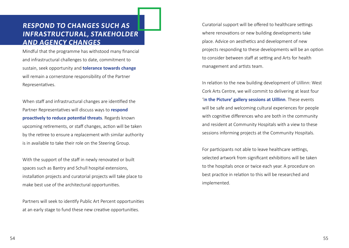#### **Respond to changes such as infrastructural, stakeholder and agency changes**

Mindful that the programme has withstood many financial and infrastructural challenges to date, commitment to sustain, seek opportunity and **tolerance towards change** will remain a cornerstone responsibility of the Partner Representatives.

When staff and infrastructural changes are identified the Partner Representatives will discuss ways to **respond proactively to reduce potential threats**. Regards known upcoming retirements, or staff changes, action will be taken by the retiree to ensure a replacement with similar authority is in available to take their role on the Steering Group.

With the support of the staff in newly renovated or built spaces such as Bantry and Schull hospital extensions, installation projects and curatorial projects will take place to make best use of the architectural opportunities.

Partners will seek to identify Public Art Percent opportunities at an early stage to fund these new creative opportunities.

Curatorial support will be offered to healthcare settings where renovations or new building developments take place. Advice on aesthetics and development of new projects responding to these developments will be an option to consider between staff at setting and Arts for health management and artists team.

In relation to the new building development of Uillinn: West Cork Arts Centre, we will commit to delivering at least four 'I**n the Picture' gallery sessions at Uillinn**. These events will be safe and welcoming cultural experiences for people with cognitive differences who are both in the community and resident at Community Hospitals with a view to these sessions informing projects at the Community Hospitals.

For participants not able to leave healthcare settings, selected artwork from significant exhibitions will be taken to the hospitals once or twice each year. A procedure on best practice in relation to this will be researched and implemented.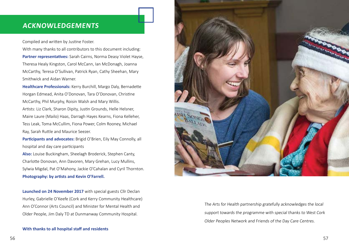#### **Acknowledgements**

Compiled and written by Justine Foster.

With many thanks to all contributors to this document including: **Partner representatives:** Sarah Cairns, Norma Deasy Violet Hayse, Theresa Healy Kingston, Carol McCann, Ian McDonagh, Joanna McCarthy, Teresa O'Sullivan, Patrick Ryan, Cathy Sheehan, Mary Smithwick and Aidan Warner.

**Healthcare Professionals:** Kerry Burchill, Margo Daly, Bernadette Horgan Edmead, Anita O'Donovan, Tara O'Donovan, Christine McCarthy, Phil Murphy, Roisin Walsh and Mary Willis. Artists: Liz Clark, Sharon Dipity, Justin Grounds, Helle Helsner, Maire Laure (Mailo) Haas, Darragh Hayes Kearns, Fiona Kelleher, Tess Leak, Toma McCullim, Fiona Power, Colm Rooney, Michael Ray, Sarah Ruttle and Maurice Seezer.

**Participants and advocates:** Brigid O'Brien, Eily May Connolly, all hospital and day care participants

**Also:** Louise Buckingham, Sheelagh Broderick, Stephen Canty, Charlotte Donovan, Ann Davoren, Mary Grehan, Lucy Mullins, Sylwia Migdal, Pat O'Mahony, Jackie O'Cahalan and Cyril Thornton. **Photography: by artists and Kevin O'Farrell.**

**Launched on 24 November 2017** with special guests Cllr Declan Hurley, Gabrielle O'Keefe (Cork and Kerry Community Healthcare) Ann O'Connor (Arts Council) and Minister for Mental Health and Older People, Jim Daly TD at Dunmanway Community Hospital.





The Arts for Health partnership gratefully acknowledges the local support towards the programme with special thanks to West Cork Older Peoples Network and Friends of the Day Care Centres.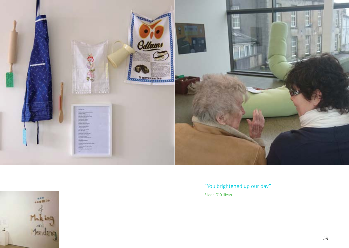

"You brightened up our day" Eileen O'Sullivan

![](_page_29_Picture_2.jpeg)